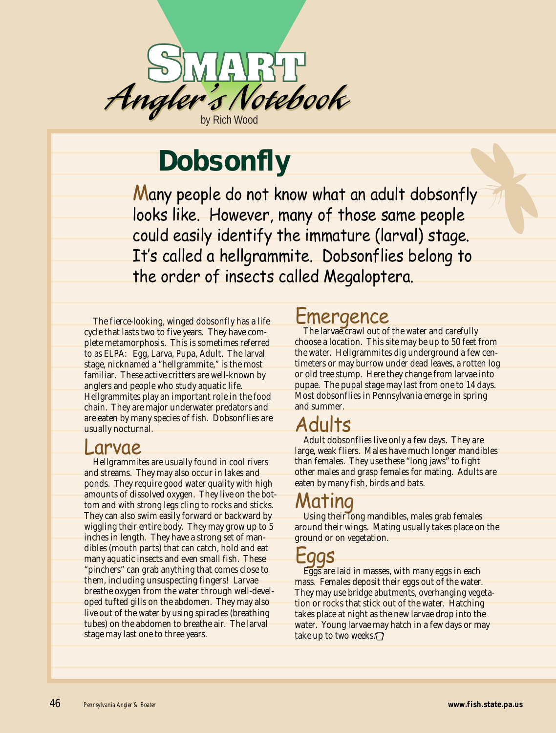

# **Dobsonfly**

Many people do not know what an adult dobsonfly looks like. However, many of those same people could easily identify the immature (larval) stage. It's called a hellgrammite. Dobsonflies belong to the order of insects called Megaloptera.

The fierce-looking, winged dobsonfly has a life cycle that lasts two to five years. They have complete metamorphosis. This is sometimes referred to as ELPA: Egg, Larva, Pupa, Adult. The larval stage, nicknamed a "hellgrammite," is the most familiar. These active critters are well-known by anglers and people who study aquatic life. Hellgrammites play an important role in the food chain. They are major underwater predators and are eaten by many species of fish. Dobsonflies are usually nocturnal.

#### Larvae

Hellgrammites are usually found in cool rivers and streams. They may also occur in lakes and ponds. They require good water quality with high amounts of dissolved oxygen. They live on the bottom and with strong legs cling to rocks and sticks. They can also swim easily forward or backward by wiggling their entire body. They may grow up to 5 inches in length. They have a strong set of mandibles (mouth parts) that can catch, hold and eat many aquatic insects and even small fish. These "pinchers" can grab anything that comes close to them, including unsuspecting fingers! Larvae breathe oxygen from the water through well-developed tufted gills on the abdomen. They may also live out of the water by using spiracles (breathing tubes) on the abdomen to breathe air. The larval stage may last one to three years.

### Emergence

The larvae crawl out of the water and carefully choose a location. This site may be up to 50 feet from the water. Hellgrammites dig underground a few centimeters or may burrow under dead leaves, a rotten log or old tree stump. Here they change from larvae into pupae. The pupal stage may last from one to 14 days. Most dobsonflies in Pennsylvania emerge in spring and summer.

## Adults

Adult dobsonflies live only a few days. They are large, weak fliers. Males have much longer mandibles than females. They use these "long jaws" to fight other males and grasp females for mating. Adults are eaten by many fish, birds and bats.

# Mating

Using their long mandibles, males grab females around their wings. Mating usually takes place on the ground or on vegetation.

#### Eggs

Eggs are laid in masses, with many eggs in each mass. Females deposit their eggs out of the water. They may use bridge abutments, overhanging vegetation or rocks that stick out of the water. Hatching takes place at night as the new larvae drop into the water. Young larvae may hatch in a few days or may take up to two weeks.<sup>[7]</sup>